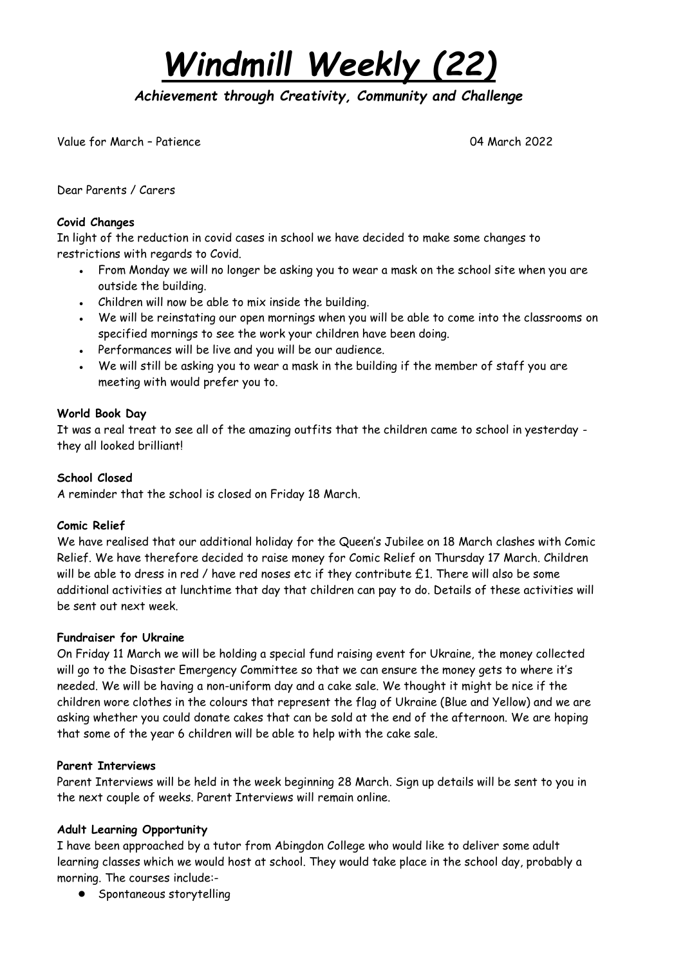*Windmill Weekly (22)*

*Achievement through Creativity, Community and Challenge* 

Value for March – Patience 04 March 2022

Dear Parents / Carers

#### **Covid Changes**

In light of the reduction in covid cases in school we have decided to make some changes to restrictions with regards to Covid.

- From Monday we will no longer be asking you to wear a mask on the school site when you are outside the building.
- $\bullet$  Children will now be able to mix inside the building.
- We will be reinstating our open mornings when you will be able to come into the classrooms on specified mornings to see the work your children have been doing.
- Performances will be live and you will be our audience.
- We will still be asking you to wear a mask in the building if the member of staff you are meeting with would prefer you to.

#### **World Book Day**

It was a real treat to see all of the amazing outfits that the children came to school in yesterday they all looked brilliant!

#### **School Closed**

A reminder that the school is closed on Friday 18 March.

#### **Comic Relief**

We have realised that our additional holiday for the Queen's Jubilee on 18 March clashes with Comic Relief. We have therefore decided to raise money for Comic Relief on Thursday 17 March. Children will be able to dress in red / have red noses etc if they contribute  $£1$ . There will also be some additional activities at lunchtime that day that children can pay to do. Details of these activities will be sent out next week.

#### **Fundraiser for Ukraine**

On Friday 11 March we will be holding a special fund raising event for Ukraine, the money collected will go to the Disaster Emergency Committee so that we can ensure the money gets to where it's needed. We will be having a non-uniform day and a cake sale. We thought it might be nice if the children wore clothes in the colours that represent the flag of Ukraine (Blue and Yellow) and we are asking whether you could donate cakes that can be sold at the end of the afternoon. We are hoping that some of the year 6 children will be able to help with the cake sale.

#### **Parent Interviews**

Parent Interviews will be held in the week beginning 28 March. Sign up details will be sent to you in the next couple of weeks. Parent Interviews will remain online.

#### **Adult Learning Opportunity**

I have been approached by a tutor from Abingdon College who would like to deliver some adult learning classes which we would host at school. They would take place in the school day, probably a morning. The courses include:-

● Spontaneous storytelling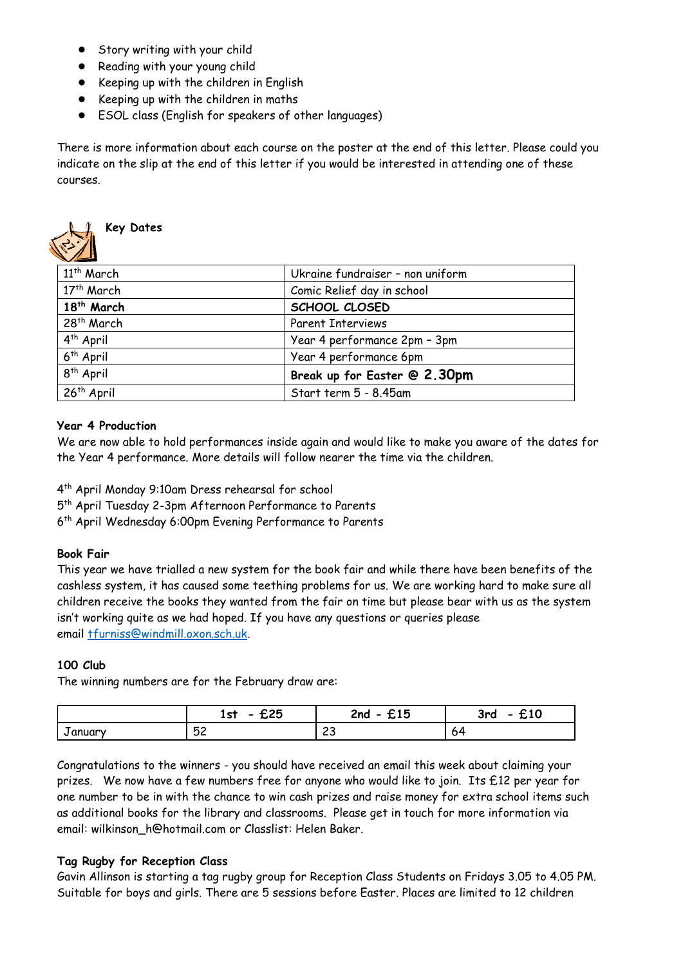- Story writing with your child
- Reading with your young child
- Keeping up with the children in English
- Keeping up with the children in maths
- ESOL class (English for speakers of other languages)

There is more information about each course on the poster at the end of this letter. Please could you indicate on the slip at the end of this letter if you would be interested in attending one of these courses.



**Key Dates**

| 11th March             | Ukraine fundraiser - non uniform |  |  |
|------------------------|----------------------------------|--|--|
| 17th March             | Comic Relief day in school       |  |  |
| 18 <sup>th</sup> March | SCHOOL CLOSED                    |  |  |
| 28 <sup>th</sup> March | <b>Parent Interviews</b>         |  |  |
| $4th$ April            | Year 4 performance 2pm - 3pm     |  |  |
| $6th$ April            | Year 4 performance 6pm           |  |  |
| 8 <sup>th</sup> April  | Break up for Easter @ 2.30pm     |  |  |
| 26 <sup>th</sup> April | Start term 5 - 8.45am            |  |  |

#### **Year 4 Production**

We are now able to hold performances inside again and would like to make you aware of the dates for the Year 4 performance. More details will follow nearer the time via the children.

4 th April Monday 9:10am Dress rehearsal for school

5 th April Tuesday 2-3pm Afternoon Performance to Parents

6 th April Wednesday 6:00pm Evening Performance to Parents

#### **Book Fair**

This year we have trialled a new system for the book fair and while there have been benefits of the cashless system, it has caused some teething problems for us. We are working hard to make sure all children receive the books they wanted from the fair on time but please bear with us as the system isn't working quite as we had hoped. If you have any questions or queries please email [tfurniss@windmill.oxon.sch.uk.](mailto:tfurniss@windmill.oxon.sch.uk)

#### **100 Club**

The winning numbers are for the February draw are:

|        | よつに<br>1st<br>んんい | -15<br>2nd<br>$\overline{\phantom{0}}$<br>んょつ | .<br>3rd<br>-<br>むょひ |
|--------|-------------------|-----------------------------------------------|----------------------|
| anuarv | <b>52</b><br>ິບເ  | $\sim$<br>ີ                                   | O4                   |

Congratulations to the winners - you should have received an email this week about claiming your prizes. We now have a few numbers free for anyone who would like to join. Its £12 per year for one number to be in with the chance to win cash prizes and raise money for extra school items such as additional books for the library and classrooms. Please get in touch for more information via email: wilkinson\_h@hotmail.com or Classlist: Helen Baker.

#### **Tag Rugby for Reception Class**

Gavin Allinson is starting a tag rugby group for Reception Class Students on Fridays 3.05 to 4.05 PM. Suitable for boys and girls. There are 5 sessions before Easter. Places are limited to 12 children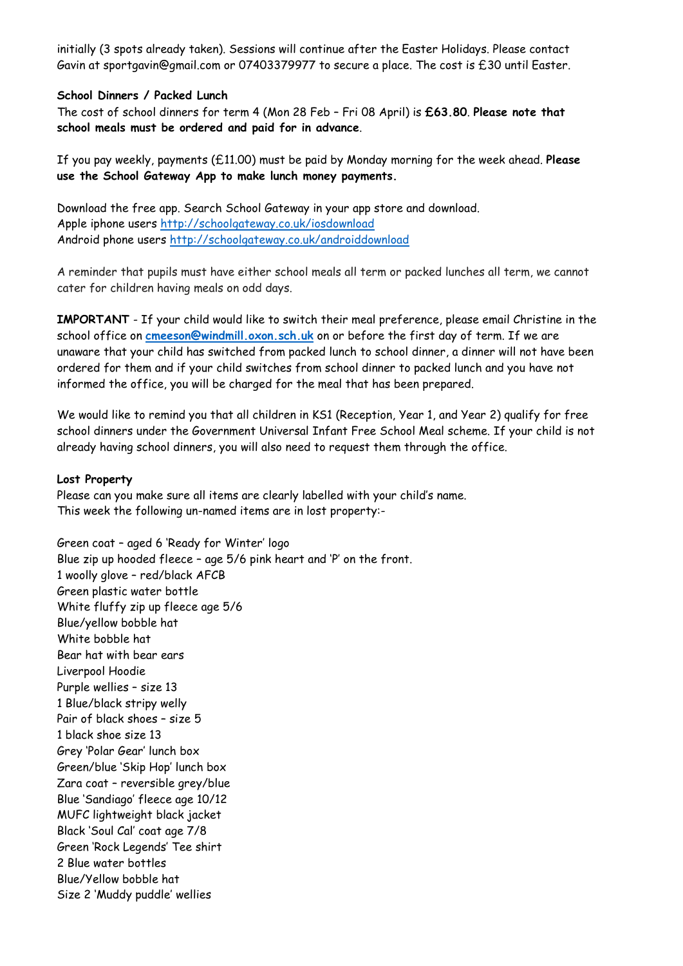initially (3 spots already taken). Sessions will continue after the Easter Holidays. Please contact Gavin at sportgavin@gmail.com or 07403379977 to secure a place. The cost is £30 until Easter.

#### **School Dinners / Packed Lunch**

The cost of school dinners for term 4 (Mon 28 Feb – Fri 08 April) is **£63.80**. **Please note that school meals must be ordered and paid for in advance**.

If you pay weekly, payments (£11.00) must be paid by Monday morning for the week ahead. **Please use the School Gateway App to make lunch money payments.**

Download the free app. Search School Gateway in your app store and download. Apple iphone users <http://schoolgateway.co.uk/iosdownload> Android phone users <http://schoolgateway.co.uk/androiddownload>

A reminder that pupils must have either school meals all term or packed lunches all term, we cannot cater for children having meals on odd days.

**IMPORTANT** - If your child would like to switch their meal preference, please email Christine in the school office on **[cmeeson@windmill.oxon.sch.uk](mailto:cmeeson@windmill.oxon.sch.uk)** on or before the first day of term. If we are unaware that your child has switched from packed lunch to school dinner, a dinner will not have been ordered for them and if your child switches from school dinner to packed lunch and you have not informed the office, you will be charged for the meal that has been prepared.

We would like to remind you that all children in KS1 (Reception, Year 1, and Year 2) qualify for free school dinners under the Government Universal Infant Free School Meal scheme. If your child is not already having school dinners, you will also need to request them through the office.

#### **Lost Property**

Please can you make sure all items are clearly labelled with your child's name. This week the following un-named items are in lost property:-

Green coat – aged 6 'Ready for Winter' logo Blue zip up hooded fleece – age 5/6 pink heart and 'P' on the front. 1 woolly glove – red/black AFCB Green plastic water bottle White fluffy zip up fleece age 5/6 Blue/yellow bobble hat White bobble hat Bear hat with bear ears Liverpool Hoodie Purple wellies – size 13 1 Blue/black stripy welly Pair of black shoes – size 5 1 black shoe size 13 Grey 'Polar Gear' lunch box Green/blue 'Skip Hop' lunch box Zara coat – reversible grey/blue Blue 'Sandiago' fleece age 10/12 MUFC lightweight black jacket Black 'Soul Cal' coat age 7/8 Green 'Rock Legends' Tee shirt 2 Blue water bottles Blue/Yellow bobble hat Size 2 'Muddy puddle' wellies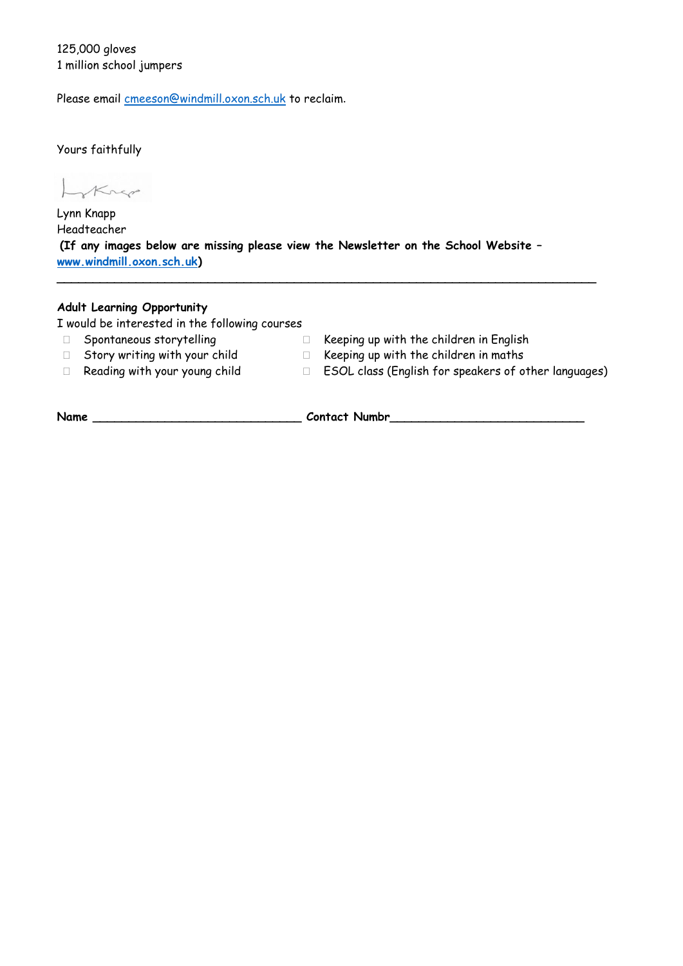#### 125,000 gloves 1 million school jumpers

Please email [cmeeson@windmill.oxon.sch.uk](mailto:cmeeson@windmill.oxon.sch.uk) to reclaim.

Yours faithfully

Krep

Lynn Knapp Headteacher **(If any images below are missing please view the Newsletter on the School Website – [www.windmill.oxon.sch.uk\)](http://www.windmill.oxon.sch.uk/)**

**\_\_\_\_\_\_\_\_\_\_\_\_\_\_\_\_\_\_\_\_\_\_\_\_\_\_\_\_\_\_\_\_\_\_\_\_\_\_\_\_\_\_\_\_\_\_\_\_\_\_\_\_\_\_\_\_\_\_\_\_\_\_\_\_\_\_\_\_\_\_\_\_\_\_\_**

#### **Adult Learning Opportunity**

I would be interested in the following courses

- 
- $\quad \Box \quad$  Spontaneous storytelling  $\qquad \qquad \Box \quad$  Keeping up with the children in English
- $\quad \Box \quad$  Story writing with your child  $\qquad \qquad \Box \quad$  Keeping up with the children in maths
- $\Box$  Reading with your young child  $\Box$  ESOL class (English for speakers of other languages)
	-

**Name \_\_\_\_\_\_\_\_\_\_\_\_\_\_\_\_\_\_\_\_\_\_\_\_\_\_\_\_\_ Contact Numbr\_\_\_\_\_\_\_\_\_\_\_\_\_\_\_\_\_\_\_\_\_\_\_\_\_\_\_**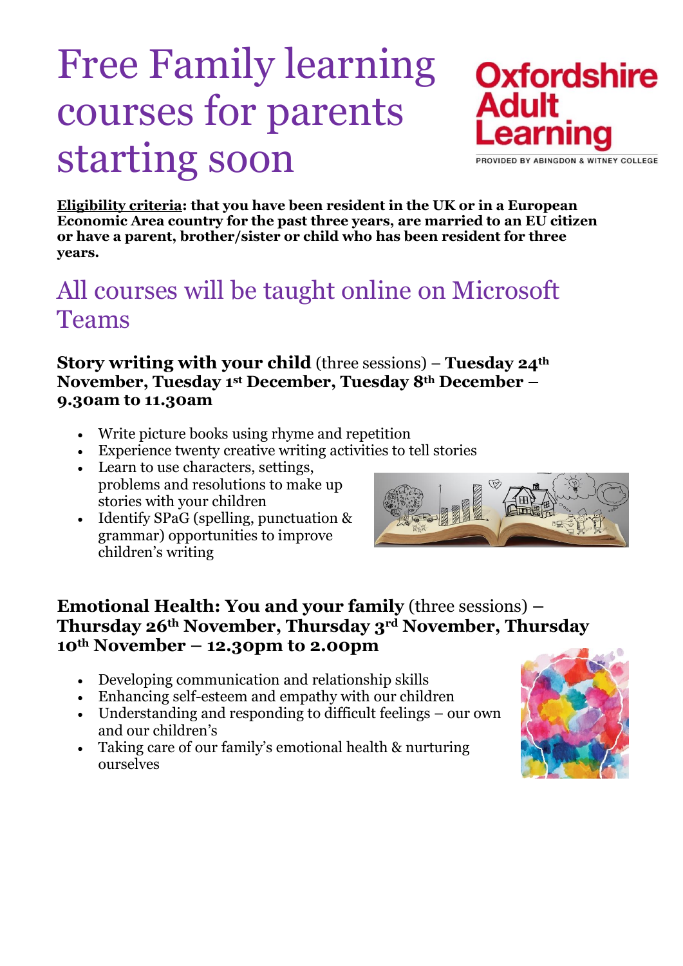# Free Family learning courses for parents starting soon



PROVIDED BY ABINGDON & WITNEY COLLEGE

**Eligibility criteria: that you have been resident in the UK or in a European Economic Area country for the past three years, are married to an EU citizen or have a parent, brother/sister or child who has been resident for three years.** 

# All courses will be taught online on Microsoft Teams

## **Story writing with your child** (three sessions) – **Tuesday 24th November, Tuesday 1 st December, Tuesday 8th December – 9.30am to 11.30am**

- Write picture books using rhyme and repetition
- Experience twenty creative writing activities to tell stories
- Learn to use characters, settings, problems and resolutions to make up stories with your children
- Identify SPaG (spelling, punctuation & grammar) opportunities to improve children's writing



# **Emotional Health: You and your family** (three sessions) **– Thursday 26th November, Thursday 3rd November, Thursday 10th November – 12.30pm to 2.00pm**

- Developing communication and relationship skills
- Enhancing self-esteem and empathy with our children
- Understanding and responding to difficult feelings our own and our children's
- Taking care of our family's emotional health & nurturing ourselves

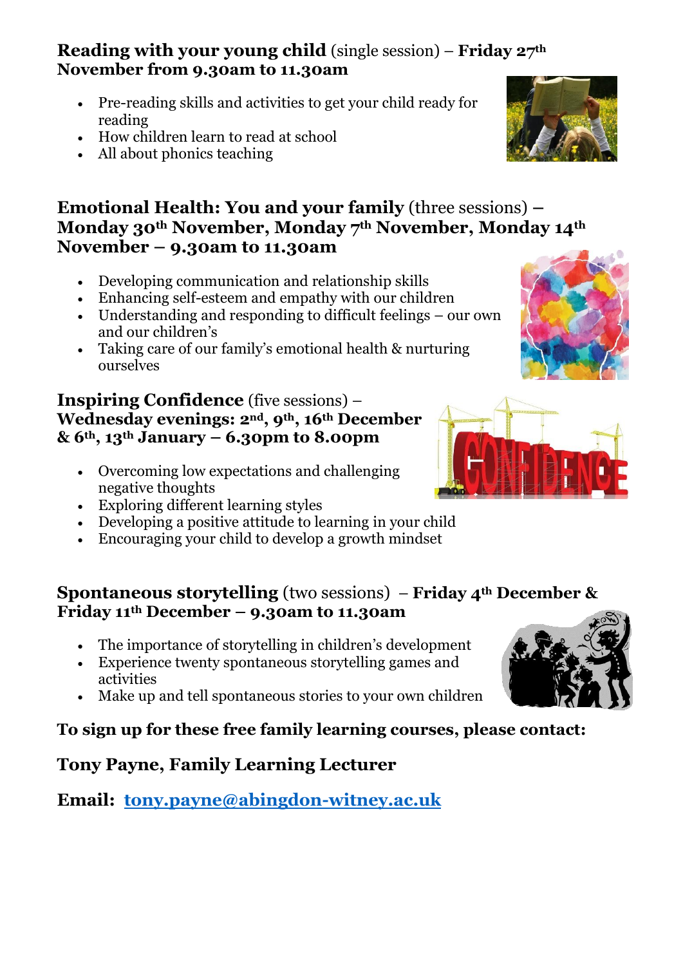# **Reading with your young child** (single session) – **Friday 27th November from 9.30am to 11.30am**

- Pre-reading skills and activities to get your child ready for reading
- How children learn to read at school
- All about phonics teaching

# **Emotional Health: You and your family** (three sessions) **– Monday 30th November, Monday 7th November, Monday 14th November – 9.30am to 11.30am**

- Developing communication and relationship skills
- Enhancing self-esteem and empathy with our children
- Understanding and responding to difficult feelings our own and our children's
- Taking care of our family's emotional health & nurturing ourselves

### **Inspiring Confidence** (five sessions) – **Wednesday evenings: 2nd , 9th , 16th December & 6th , 13th January – 6.30pm to 8.00pm**

- Overcoming low expectations and challenging negative thoughts
- Exploring different learning styles
- Developing a positive attitude to learning in your child
- Encouraging your child to develop a growth mindset

## **Spontaneous storytelling** (two sessions) – **Friday 4th December & Friday 11th December – 9.30am to 11.30am**

- The importance of storytelling in children's development
- Experience twenty spontaneous storytelling games and activities
- Make up and tell spontaneous stories to your own children

# **To sign up for these free family learning courses, please contact:**

# **Tony Payne, Family Learning Lecturer**

**Email: [tony.payne@abingdon-witney.ac.uk](mailto:tony.payne@abingdon-witney.ac.uk)**